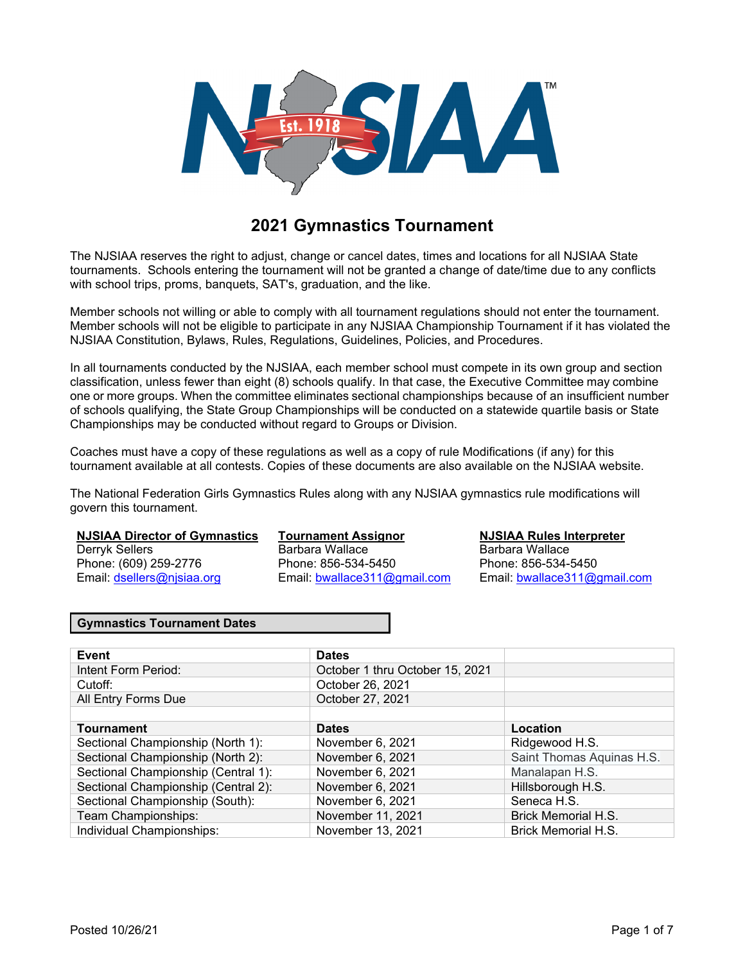

# **2021 Gymnastics Tournament**

The NJSIAA reserves the right to adjust, change or cancel dates, times and locations for all NJSIAA State tournaments. Schools entering the tournament will not be granted a change of date/time due to any conflicts with school trips, proms, banquets, SAT's, graduation, and the like.

Member schools not willing or able to comply with all tournament regulations should not enter the tournament. Member schools will not be eligible to participate in any NJSIAA Championship Tournament if it has violated the NJSIAA Constitution, Bylaws, Rules, Regulations, Guidelines, Policies, and Procedures.

In all tournaments conducted by the NJSIAA, each member school must compete in its own group and section classification, unless fewer than eight (8) schools qualify. In that case, the Executive Committee may combine one or more groups. When the committee eliminates sectional championships because of an insufficient number of schools qualifying, the State Group Championships will be conducted on a statewide quartile basis or State Championships may be conducted without regard to Groups or Division.

Coaches must have a copy of these regulations as well as a copy of rule Modifications (if any) for this tournament available at all contests. Copies of these documents are also available on the NJSIAA website.

The National Federation Girls Gymnastics Rules along with any NJSIAA gymnastics rule modifications will govern this tournament.

#### **NJSIAA Director of Gymnastics Tournament Assignor NJSIAA Rules Interpreter**

Derryk Sellers **Barbara Wallace** Barbara Wallace Barbara Wallace Phone: (609) 259-2776 Phone: 856-534-5450 Phone: 856-534-5450

Email: dsellers@njsiaa.org Email: bwallace311@gmail.com Email: bwallace311@gmail.com

#### **Gymnastics Tournament Dates**

| Event                               | <b>Dates</b>                    |                            |
|-------------------------------------|---------------------------------|----------------------------|
| Intent Form Period:                 | October 1 thru October 15, 2021 |                            |
| Cutoff:                             | October 26, 2021                |                            |
| All Entry Forms Due                 | October 27, 2021                |                            |
|                                     |                                 |                            |
| <b>Tournament</b>                   | <b>Dates</b>                    | Location                   |
| Sectional Championship (North 1):   | November 6, 2021                | Ridgewood H.S.             |
| Sectional Championship (North 2):   | November 6, 2021                | Saint Thomas Aquinas H.S.  |
| Sectional Championship (Central 1): | November 6, 2021                | Manalapan H.S.             |
| Sectional Championship (Central 2): | November 6, 2021                | Hillsborough H.S.          |
| Sectional Championship (South):     | November 6, 2021                | Seneca H.S.                |
| Team Championships:                 | November 11, 2021               | <b>Brick Memorial H.S.</b> |
| Individual Championships:           | November 13, 2021               | <b>Brick Memorial H.S.</b> |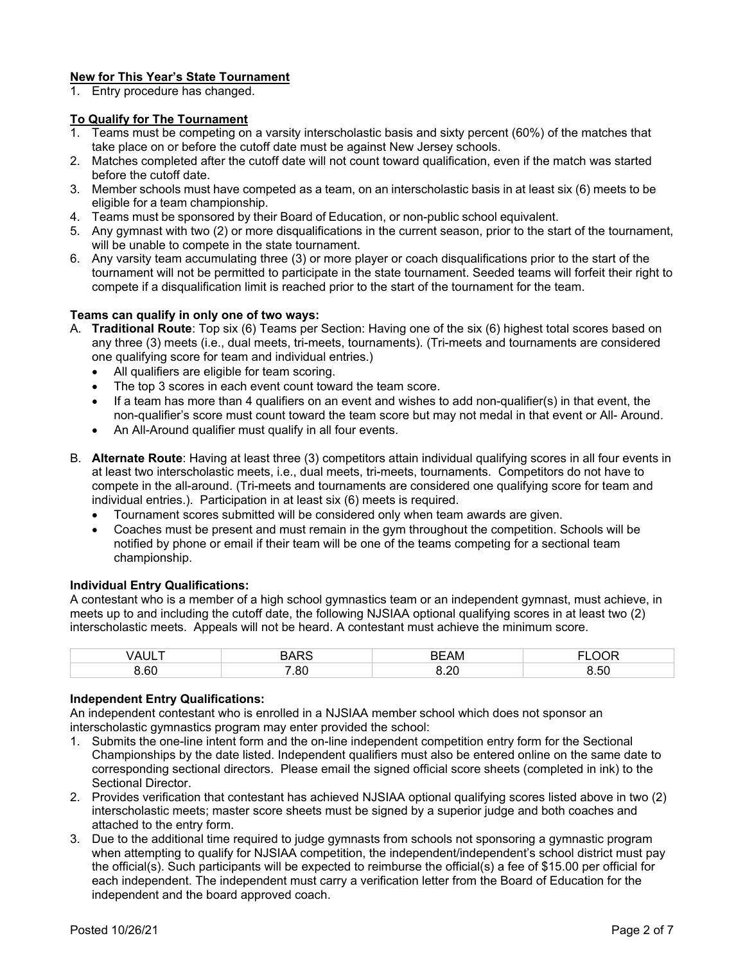#### **New for This Year's State Tournament**

1. Entry procedure has changed.

#### **To Qualify for The Tournament**

- 1. Teams must be competing on a varsity interscholastic basis and sixty percent (60%) of the matches that take place on or before the cutoff date must be against New Jersey schools.
- 2. Matches completed after the cutoff date will not count toward qualification, even if the match was started before the cutoff date.
- 3. Member schools must have competed as a team, on an interscholastic basis in at least six (6) meets to be eligible for a team championship.
- 4. Teams must be sponsored by their Board of Education, or non-public school equivalent.
- 5. Any gymnast with two (2) or more disqualifications in the current season, prior to the start of the tournament, will be unable to compete in the state tournament.
- 6. Any varsity team accumulating three (3) or more player or coach disqualifications prior to the start of the tournament will not be permitted to participate in the state tournament. Seeded teams will forfeit their right to compete if a disqualification limit is reached prior to the start of the tournament for the team.

#### **Teams can qualify in only one of two ways:**

- A. **Traditional Route**: Top six (6) Teams per Section: Having one of the six (6) highest total scores based on any three (3) meets (i.e., dual meets, tri-meets, tournaments). (Tri-meets and tournaments are considered one qualifying score for team and individual entries.)
	- All qualifiers are eligible for team scoring.
	- The top 3 scores in each event count toward the team score.
	- If a team has more than 4 qualifiers on an event and wishes to add non-qualifier(s) in that event, the non-qualifier's score must count toward the team score but may not medal in that event or All- Around.
	- An All-Around qualifier must qualify in all four events.
- B. **Alternate Route**: Having at least three (3) competitors attain individual qualifying scores in all four events in at least two interscholastic meets, i.e., dual meets, tri-meets, tournaments. Competitors do not have to compete in the all-around. (Tri-meets and tournaments are considered one qualifying score for team and individual entries.). Participation in at least six (6) meets is required.
	- Tournament scores submitted will be considered only when team awards are given.
	- Coaches must be present and must remain in the gym throughout the competition. Schools will be notified by phone or email if their team will be one of the teams competing for a sectional team championship.

#### **Individual Entry Qualifications:**

A contestant who is a member of a high school gymnastics team or an independent gymnast, must achieve, in meets up to and including the cutoff date, the following NJSIAA optional qualifying scores in at least two (2) interscholastic meets. Appeals will not be heard. A contestant must achieve the minimum score.

| 7 A I | DADC | <b>AB</b><br>--<br>AM<br>n F | $\sim$ $\sim$ $\sim$<br>۱ь |
|-------|------|------------------------------|----------------------------|
| 3.60  | 7.80 | ററ                           | $\sim$ $\sim$<br>s.5U      |

#### **Independent Entry Qualifications:**

An independent contestant who is enrolled in a NJSIAA member school which does not sponsor an interscholastic gymnastics program may enter provided the school:

- 1. Submits the one-line intent form and the on-line independent competition entry form for the Sectional Championships by the date listed. Independent qualifiers must also be entered online on the same date to corresponding sectional directors. Please email the signed official score sheets (completed in ink) to the Sectional Director.
- 2. Provides verification that contestant has achieved NJSIAA optional qualifying scores listed above in two (2) interscholastic meets; master score sheets must be signed by a superior judge and both coaches and attached to the entry form.
- 3. Due to the additional time required to judge gymnasts from schools not sponsoring a gymnastic program when attempting to qualify for NJSIAA competition, the independent/independent's school district must pay the official(s). Such participants will be expected to reimburse the official(s) a fee of \$15.00 per official for each independent. The independent must carry a verification letter from the Board of Education for the independent and the board approved coach.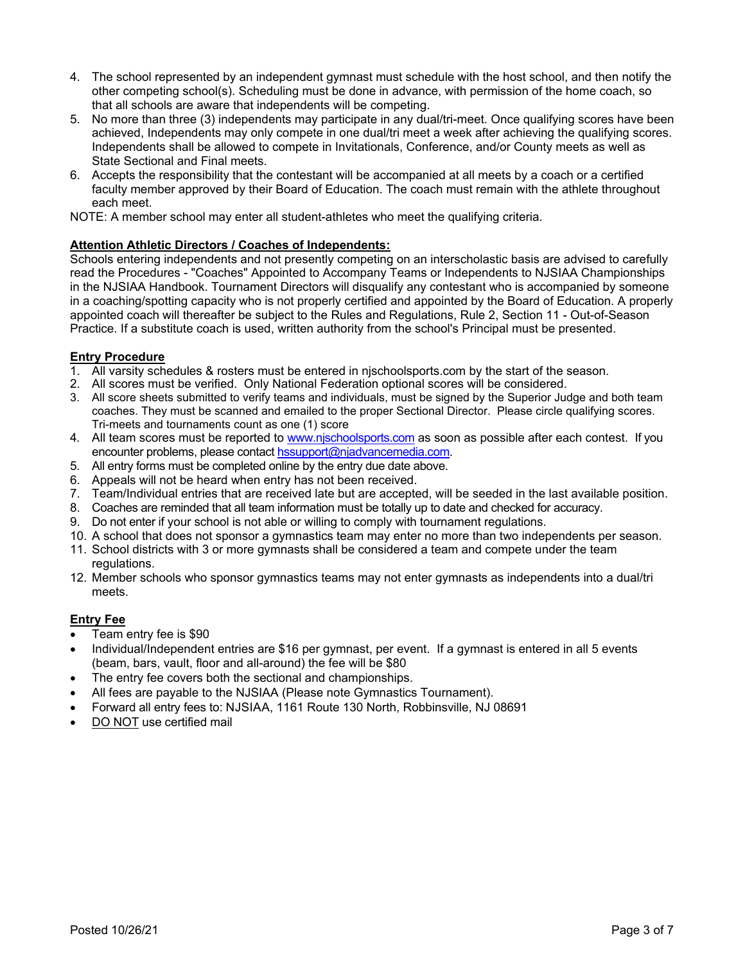- 4. The school represented by an independent gymnast must schedule with the host school, and then notify the other competing school(s). Scheduling must be done in advance, with permission of the home coach, so that all schools are aware that independents will be competing.
- 5. No more than three (3) independents may participate in any dual/tri-meet. Once qualifying scores have been achieved, Independents may only compete in one dual/tri meet a week after achieving the qualifying scores. Independents shall be allowed to compete in Invitationals, Conference, and/or County meets as well as State Sectional and Final meets.
- 6. Accepts the responsibility that the contestant will be accompanied at all meets by a coach or a certified faculty member approved by their Board of Education. The coach must remain with the athlete throughout each meet.
- NOTE: A member school may enter all student-athletes who meet the qualifying criteria.

#### **Attention Athletic Directors / Coaches of Independents:**

Schools entering independents and not presently competing on an interscholastic basis are advised to carefully read the Procedures - "Coaches" Appointed to Accompany Teams or Independents to NJSIAA Championships in the NJSIAA Handbook. Tournament Directors will disqualify any contestant who is accompanied by someone in a coaching/spotting capacity who is not properly certified and appointed by the Board of Education. A properly appointed coach will thereafter be subject to the Rules and Regulations, Rule 2, Section 11 - Out-of-Season Practice. If a substitute coach is used, written authority from the school's Principal must be presented.

#### **Entry Procedure**

- 1. All varsity schedules & rosters must be entered in njschoolsports.com by the start of the season.
- 2. All scores must be verified. Only National Federation optional scores will be considered.
- 3. All score sheets submitted to verify teams and individuals, must be signed by the Superior Judge and both team coaches. They must be scanned and emailed to the proper Sectional Director. Please circle qualifying scores. Tri-meets and tournaments count as one (1) score
- 4. All team scores must be reported to www.njschoolsports.com as soon as possible after each contest. If you encounter problems, please contact hssupport@njadvancemedia.com.
- 5. All entry forms must be completed online by the entry due date above.
- 6. Appeals will not be heard when entry has not been received.
- 7. Team/Individual entries that are received late but are accepted, will be seeded in the last available position.
- 8. Coaches are reminded that all team information must be totally up to date and checked for accuracy.
- 9. Do not enter if your school is not able or willing to comply with tournament regulations.
- 10. A school that does not sponsor a gymnastics team may enter no more than two independents per season.
- 11. School districts with 3 or more gymnasts shall be considered a team and compete under the team regulations.
- 12. Member schools who sponsor gymnastics teams may not enter gymnasts as independents into a dual/tri meets.

#### **Entry Fee**

- Team entry fee is \$90
- Individual/Independent entries are \$16 per gymnast, per event. If a gymnast is entered in all 5 events (beam, bars, vault, floor and all-around) the fee will be \$80
- The entry fee covers both the sectional and championships.
- All fees are payable to the NJSIAA (Please note Gymnastics Tournament).
- Forward all entry fees to: NJSIAA, 1161 Route 130 North, Robbinsville, NJ 08691
- DO NOT use certified mail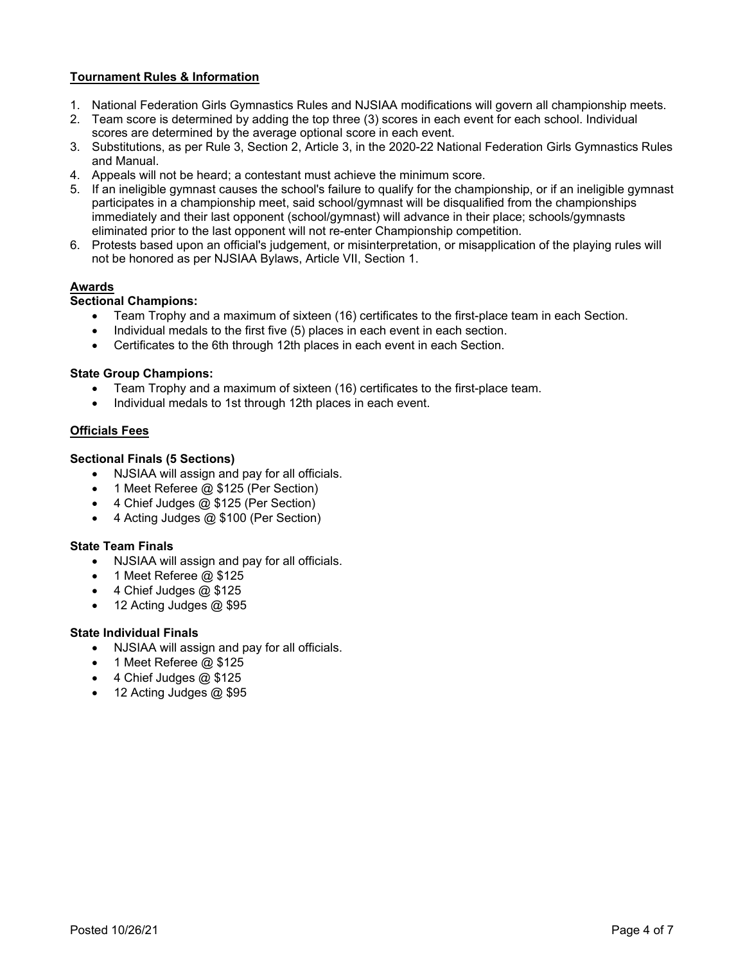### **Tournament Rules & Information**

- 1. National Federation Girls Gymnastics Rules and NJSIAA modifications will govern all championship meets.
- 2. Team score is determined by adding the top three (3) scores in each event for each school. Individual scores are determined by the average optional score in each event.
- 3. Substitutions, as per Rule 3, Section 2, Article 3, in the 2020-22 National Federation Girls Gymnastics Rules and Manual.
- 4. Appeals will not be heard; a contestant must achieve the minimum score.
- 5. If an ineligible gymnast causes the school's failure to qualify for the championship, or if an ineligible gymnast participates in a championship meet, said school/gymnast will be disqualified from the championships immediately and their last opponent (school/gymnast) will advance in their place; schools/gymnasts eliminated prior to the last opponent will not re-enter Championship competition.
- 6. Protests based upon an official's judgement, or misinterpretation, or misapplication of the playing rules will not be honored as per NJSIAA Bylaws, Article VII, Section 1.

#### **Awards**

#### **Sectional Champions:**

- Team Trophy and a maximum of sixteen (16) certificates to the first-place team in each Section.
- Individual medals to the first five (5) places in each event in each section.
- Certificates to the 6th through 12th places in each event in each Section.

#### **State Group Champions:**

- Team Trophy and a maximum of sixteen (16) certificates to the first-place team.
- Individual medals to 1st through 12th places in each event.

#### **Officials Fees**

#### **Sectional Finals (5 Sections)**

- NJSIAA will assign and pay for all officials.
- 1 Meet Referee @ \$125 (Per Section)
- 4 Chief Judges @ \$125 (Per Section)
- 4 Acting Judges @ \$100 (Per Section)

#### **State Team Finals**

- NJSIAA will assign and pay for all officials.
- 1 Meet Referee @ \$125
- $\bullet$  4 Chief Judges  $@$  \$125
- $\bullet$  12 Acting Judges  $@$  \$95

#### **State Individual Finals**

- NJSIAA will assign and pay for all officials.
- 1 Meet Referee @ \$125
- $\bullet$  4 Chief Judges @ \$125
- $\bullet$  12 Acting Judges  $@$  \$95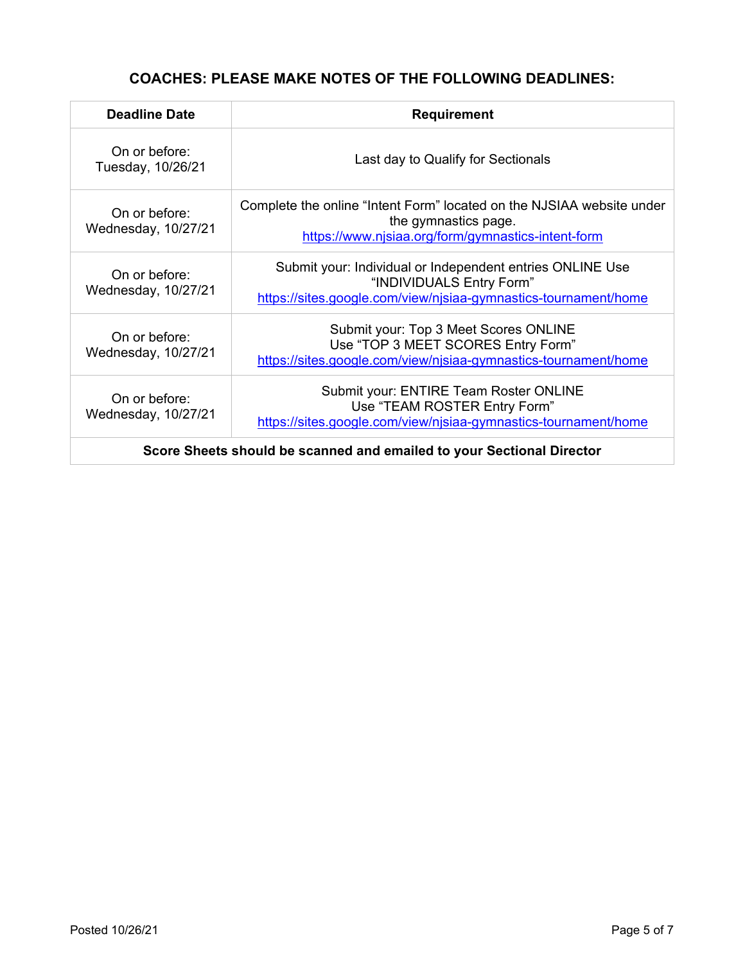# **COACHES: PLEASE MAKE NOTES OF THE FOLLOWING DEADLINES:**

| <b>Deadline Date</b>                                                  | <b>Requirement</b>                                                                                                                                       |  |
|-----------------------------------------------------------------------|----------------------------------------------------------------------------------------------------------------------------------------------------------|--|
| On or before:<br>Tuesday, 10/26/21                                    | Last day to Qualify for Sectionals                                                                                                                       |  |
| On or before:<br>Wednesday, 10/27/21                                  | Complete the online "Intent Form" located on the NJSIAA website under<br>the gymnastics page.<br>https://www.njsiaa.org/form/gymnastics-intent-form      |  |
| On or before:<br>Wednesday, 10/27/21                                  | Submit your: Individual or Independent entries ONLINE Use<br>"INDIVIDUALS Entry Form"<br>https://sites.google.com/view/njsiaa-gymnastics-tournament/home |  |
| On or before:<br>Wednesday, 10/27/21                                  | Submit your: Top 3 Meet Scores ONLINE<br>Use "TOP 3 MEET SCORES Entry Form"<br>https://sites.google.com/view/njsiaa-gymnastics-tournament/home           |  |
| On or before:<br>Wednesday, 10/27/21                                  | Submit your: ENTIRE Team Roster ONLINE<br>Use "TEAM ROSTER Entry Form"<br>https://sites.google.com/view/njsiaa-gymnastics-tournament/home                |  |
| Score Sheets should be scanned and emailed to your Sectional Director |                                                                                                                                                          |  |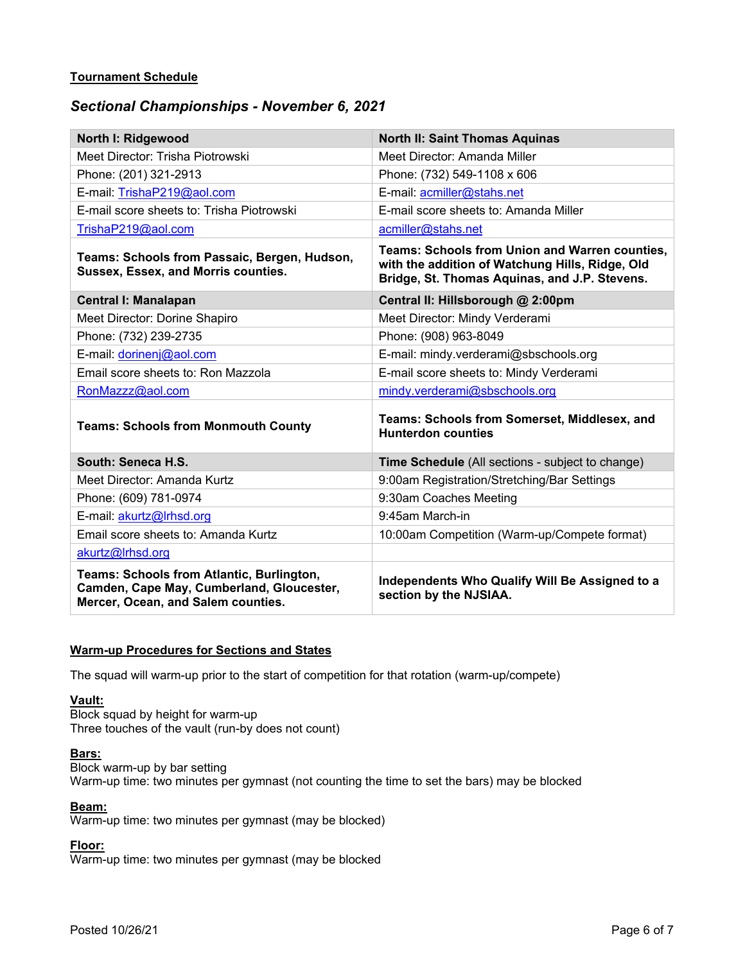#### **Tournament Schedule**

# *Sectional Championships - November 6, 2021*

| North I: Ridgewood                                                                                                                  | <b>North II: Saint Thomas Aquinas</b>                                                                                                                     |  |
|-------------------------------------------------------------------------------------------------------------------------------------|-----------------------------------------------------------------------------------------------------------------------------------------------------------|--|
| Meet Director: Trisha Piotrowski                                                                                                    | Meet Director: Amanda Miller                                                                                                                              |  |
| Phone: (201) 321-2913                                                                                                               | Phone: (732) 549-1108 x 606                                                                                                                               |  |
| E-mail: TrishaP219@aol.com                                                                                                          | E-mail: acmiller@stahs.net                                                                                                                                |  |
| E-mail score sheets to: Trisha Piotrowski                                                                                           | E-mail score sheets to: Amanda Miller                                                                                                                     |  |
| TrishaP219@aol.com                                                                                                                  | acmiller@stahs.net                                                                                                                                        |  |
| Teams: Schools from Passaic, Bergen, Hudson,<br>Sussex, Essex, and Morris counties.                                                 | <b>Teams: Schools from Union and Warren counties,</b><br>with the addition of Watchung Hills, Ridge, Old<br>Bridge, St. Thomas Aquinas, and J.P. Stevens. |  |
| <b>Central I: Manalapan</b>                                                                                                         | Central II: Hillsborough @ 2:00pm                                                                                                                         |  |
| Meet Director: Dorine Shapiro                                                                                                       | Meet Director: Mindy Verderami                                                                                                                            |  |
| Phone: (732) 239-2735                                                                                                               | Phone: (908) 963-8049                                                                                                                                     |  |
| E-mail: dorinenj@aol.com                                                                                                            | E-mail: mindy.verderami@sbschools.org                                                                                                                     |  |
| Email score sheets to: Ron Mazzola                                                                                                  | E-mail score sheets to: Mindy Verderami                                                                                                                   |  |
| RonMazzz@aol.com                                                                                                                    | mindy.verderami@sbschools.org                                                                                                                             |  |
| <b>Teams: Schools from Monmouth County</b>                                                                                          | Teams: Schools from Somerset, Middlesex, and<br><b>Hunterdon counties</b>                                                                                 |  |
| South: Seneca H.S.                                                                                                                  | Time Schedule (All sections - subject to change)                                                                                                          |  |
| Meet Director: Amanda Kurtz                                                                                                         | 9:00am Registration/Stretching/Bar Settings                                                                                                               |  |
| Phone: (609) 781-0974                                                                                                               | 9:30am Coaches Meeting                                                                                                                                    |  |
| E-mail: akurtz@Irhsd.org                                                                                                            | 9:45am March-in                                                                                                                                           |  |
| Email score sheets to: Amanda Kurtz                                                                                                 | 10:00am Competition (Warm-up/Compete format)                                                                                                              |  |
| akurtz@Irhsd.org                                                                                                                    |                                                                                                                                                           |  |
| <b>Teams: Schools from Atlantic, Burlington,</b><br>Camden, Cape May, Cumberland, Gloucester,<br>Mercer, Ocean, and Salem counties. | Independents Who Qualify Will Be Assigned to a<br>section by the NJSIAA.                                                                                  |  |

#### **Warm-up Procedures for Sections and States**

The squad will warm-up prior to the start of competition for that rotation (warm-up/compete)

#### **Vault:**

Block squad by height for warm-up Three touches of the vault (run-by does not count)

#### **Bars:**

Block warm-up by bar setting Warm-up time: two minutes per gymnast (not counting the time to set the bars) may be blocked

### **Beam:**

Warm-up time: two minutes per gymnast (may be blocked)

## **Floor:**

Warm-up time: two minutes per gymnast (may be blocked